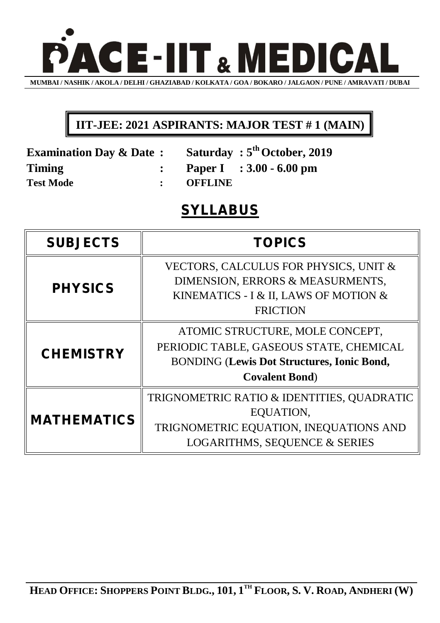

## **IIT-JEE: 2021 ASPIRANTS: MAJOR TEST # 1 (MAIN)**

| <b>Examination Day &amp; Date:</b> |           | <b>Saturday: 5<sup>th</sup> October, 2019</b> |
|------------------------------------|-----------|-----------------------------------------------|
| Timing                             |           | : Paper I : $3.00 - 6.00$ pm                  |
| <b>Test Mode</b>                   | : OFFLINE |                                               |

## **SYLLABUS**

| <b>SUBJECTS</b>    | <b>TOPICS</b>                                                                                                                                             |  |
|--------------------|-----------------------------------------------------------------------------------------------------------------------------------------------------------|--|
| <b>PHYSICS</b>     | VECTORS, CALCULUS FOR PHYSICS, UNIT &<br>DIMENSION, ERRORS & MEASURMENTS,<br>KINEMATICS - I & II, LAWS OF MOTION &<br><b>FRICTION</b>                     |  |
| <b>CHEMISTRY</b>   | ATOMIC STRUCTURE, MOLE CONCEPT,<br>PERIODIC TABLE, GASEOUS STATE, CHEMICAL<br><b>BONDING (Lewis Dot Structures, Ionic Bond,</b><br><b>Covalent Bond</b> ) |  |
| <b>MATHEMATICS</b> | TRIGNOMETRIC RATIO & IDENTITIES, QUADRATIC<br>EQUATION,<br>TRIGNOMETRIC EQUATION, INEQUATIONS AND<br><b>LOGARITHMS, SEQUENCE &amp; SERIES</b>             |  |